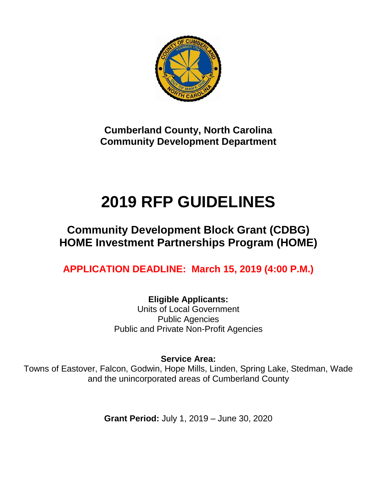

**Cumberland County, North Carolina Community Development Department**

# **2019 RFP GUIDELINES**

# **Community Development Block Grant (CDBG) HOME Investment Partnerships Program (HOME)**

**APPLICATION DEADLINE: March 15, 2019 (4:00 P.M.)**

**Eligible Applicants:** Units of Local Government Public Agencies Public and Private Non-Profit Agencies

**Service Area:**

Towns of Eastover, Falcon, Godwin, Hope Mills, Linden, Spring Lake, Stedman, Wade and the unincorporated areas of Cumberland County

**Grant Period:** July 1, 2019 – June 30, 2020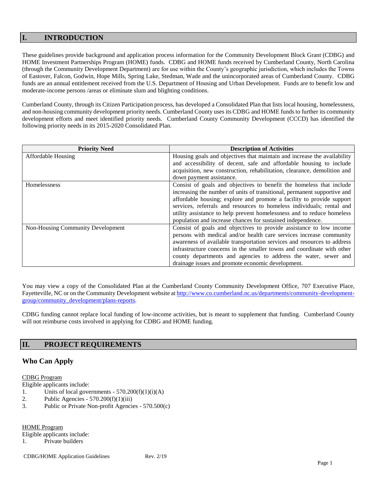# **I. INTRODUCTION**

These guidelines provide background and application process information for the Community Development Block Grant (CDBG) and HOME Investment Partnerships Program (HOME) funds. CDBG and HOME funds received by Cumberland County, North Carolina (through the Community Development Department) are for use within the County's geographic jurisdiction, which includes the Towns of Eastover, Falcon, Godwin, Hope Mills, Spring Lake, Stedman, Wade and the unincorporated areas of Cumberland County. CDBG funds are an annual entitlement received from the U.S. Department of Housing and Urban Development. Funds are to benefit low and moderate-income persons /areas or eliminate slum and blighting conditions.

Cumberland County, through its Citizen Participation process, has developed a Consolidated Plan that lists local housing, homelessness, and non-housing community development priority needs. Cumberland County uses its CDBG and HOME funds to further its community development efforts and meet identified priority needs. Cumberland County Community Development (CCCD) has identified the following priority needs in its 2015-2020 Consolidated Plan.

| <b>Priority Need</b>              | <b>Description of Activities</b>                                         |
|-----------------------------------|--------------------------------------------------------------------------|
| <b>Affordable Housing</b>         | Housing goals and objectives that maintain and increase the availability |
|                                   | and accessibility of decent, safe and affordable housing to include      |
|                                   | acquisition, new construction, rehabilitation, clearance, demolition and |
|                                   | down payment assistance.                                                 |
| Homelessness                      | Consist of goals and objectives to benefit the homeless that include     |
|                                   | increasing the number of units of transitional, permanent supportive and |
|                                   | affordable housing; explore and promote a facility to provide support    |
|                                   | services, referrals and resources to homeless individuals; rental and    |
|                                   | utility assistance to help prevent homelessness and to reduce homeless   |
|                                   | population and increase chances for sustained independence.              |
| Non-Housing Community Development | Consist of goals and objectives to provide assistance to low income      |
|                                   | persons with medical and/or health care services increase community      |
|                                   | awareness of available transportation services and resources to address  |
|                                   | infrastructure concerns in the smaller towns and coordinate with other   |
|                                   | county departments and agencies to address the water, sewer and          |
|                                   | drainage issues and promote economic development.                        |

You may view a copy of the Consolidated Plan at the Cumberland County Community Development Office, 707 Executive Place, Fayetteville, NC or on the Community Development website a[t http://www.co.cumberland.nc.us/departments/community-development](http://www.co.cumberland.nc.us/departments/community-development-group/community_development/plans-reports)[group/community\\_development/plans-reports.](http://www.co.cumberland.nc.us/departments/community-development-group/community_development/plans-reports)

CDBG funding cannot replace local funding of low-income activities, but is meant to supplement that funding. Cumberland County will not reimburse costs involved in applying for CDBG and HOME funding.

# **II. PROJECT REQUIREMENTS**

# **Who Can Apply**

#### CDBG Program

Eligible applicants include:

- 1. Units of local governments  $570.200(f)(1)(i)(A)$
- 2. Public Agencies  $570.200(f)(1)(iii)$
- 3. Public or Private Non-profit Agencies 570.500(c)

HOME Program

Eligible applicants include:

1. Private builders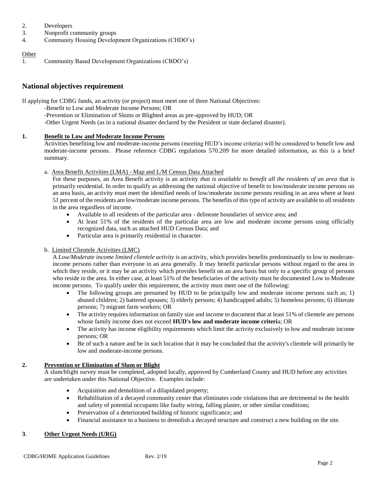- 2. Developers
- 3. Nonprofit community groups
- 4. Community Housing Development Organizations (CHDO's)

#### **Other**

1. Community Based Development Organizations (CBDO's)

# **National objectives requirement**

If applying for CDBG funds, an activity (or project) must meet one of three National Objectives:

- -Benefit to Low and Moderate Income Persons; OR
	- -Prevention or Elimination of Slums or Blighted areas as pre-approved by HUD; OR
	- -Other Urgent Needs (as in a national disaster declared by the President or state declared disaster).

## **1. Benefit to Low and Moderate Income Persons**

Activities benefiting low and moderate-income persons (meeting HUD's income criteria) will be considered to benefit low and moderate-income persons. Please reference CDBG regulations 570.209 for more detailed information, as this is a brief summary.

## a. Area Benefit Activities (LMA) - Map and L/M Census Data Attached

For these purposes, an Area Benefit activity is an activity *that is available to benefit all the residents of an area* that is primarily residential. In order to qualify as addressing the national objective of benefit to low/moderate income persons on an area basis, an activity must meet the identified needs of low/moderate income persons residing in an area where at least 51 percent of the residents are low/moderate income persons. The benefits of this type of activity are available to all residents in the area regardless of income.

- Available to all residents of the particular area delineate boundaries of service area; and
- At least 51% of the residents of the particular area are low and moderate income persons using officially recognized data, such as attached HUD Census Data; and
- Particular area is primarily residential in character.

# b. Limited Clientele Activities (LMC)

A *Low/Moderate income limited clientele activity* is an activity, which provides benefits predominantly to low to moderateincome persons rather than everyone in an area generally. It may benefit particular persons without regard to the area in which they reside, or it may be an activity which provides benefit on an area basis but only to a specific group of persons who reside in the area. In either case, at least 51% of the beneficiaries of the activity must be documented Low to Moderate income persons. To qualify under this requirement, the activity must meet one of the following:

- The following groups are presumed by HUD to be principally low and moderate income persons such as; 1) abused children; 2) battered spouses; 3) elderly persons; 4) handicapped adults; 5) homeless persons; 6) illiterate persons; 7) migrant farm workers; OR
- The activity requires information on family size and income to document that at least 51% of clientele are persons whose family income does not exceed **HUD's low and moderate income criteri**a; OR
- The activity has income eligibility requirements which limit the activity exclusively to low and moderate income persons; OR
- Be of such a nature and be in such location that it may be concluded that the activity's clientele will primarily be low and moderate-income persons.

# **2. Prevention or Elimination of Slum or Blight**

A slum/blight survey must be completed, adopted locally, approved by Cumberland County and HUD before any activities are undertaken under this National Objective. Examples include:

- Acquisition and demolition of a dilapidated property;
- Rehabilitation of a decayed community center that eliminates code violations that are detrimental to the health and safety of potential occupants like faulty wiring, falling plaster, or other similar conditions;
- Preservation of a deteriorated building of historic significance; and
- Financial assistance to a business to demolish a decayed structure and construct a new building on the site.

# **3**. **Other Urgent Needs (URG)**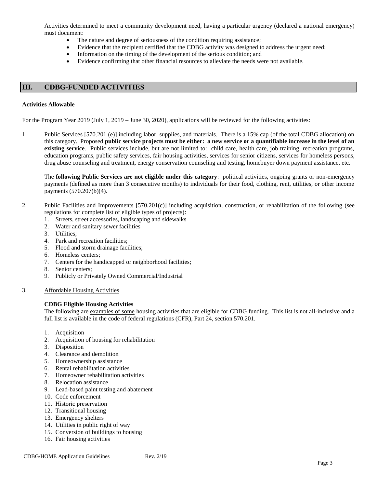Activities determined to meet a community development need, having a particular urgency (declared a national emergency) must document:

- The nature and degree of seriousness of the condition requiring assistance;
- Evidence that the recipient certified that the CDBG activity was designed to address the urgent need;
- Information on the timing of the development of the serious condition; and
- Evidence confirming that other financial resources to alleviate the needs were not available.

#### **III. CDBG-FUNDED ACTIVITIES**

#### **Activities Allowable**

For the Program Year 2019 (July 1, 2019 – June 30, 2020), applications will be reviewed for the following activities:

1. Public Services [570.201 (e)] including labor, supplies, and materials. There is a 15% cap (of the total CDBG allocation) on this category. Proposed **public service projects must be either: a new service or a quantifiable increase in the level of an existing service**. Public services include, but are not limited to: child care, health care, job training, recreation programs, education programs, public safety services, fair housing activities, services for senior citizens, services for homeless persons, drug abuse counseling and treatment, energy conservation counseling and testing, homebuyer down payment assistance, etc.

The **following Public Services are not eligible under this category**: political activities, ongoing grants or non-emergency payments (defined as more than 3 consecutive months) to individuals for their food, clothing, rent, utilities, or other income payments (570.207(b)(4).

- 2. Public Facilities and Improvements [570.201(c)] including acquisition, construction, or rehabilitation of the following (see regulations for complete list of eligible types of projects):
	- 1. Streets, street accessories, landscaping and sidewalks
	- 2. Water and sanitary sewer facilities
	- 3. Utilities;
	- 4. Park and recreation facilities;
	- 5. Flood and storm drainage facilities;
	- 6. Homeless centers;
	- 7. Centers for the handicapped or neighborhood facilities;
	- 8. Senior centers;
	- 9. Publicly or Privately Owned Commercial/Industrial
- 3. Affordable Housing Activities

#### **CDBG Eligible Housing Activities**

The following are examples of some housing activities that are eligible for CDBG funding. This list is not all-inclusive and a full list is available in the code of federal regulations (CFR), Part 24, section 570.201.

- 1. Acquisition
- 2. Acquisition of housing for rehabilitation
- 3. Disposition
- 4. Clearance and demolition
- 5. Homeownership assistance
- 6. Rental rehabilitation activities
- 7. Homeowner rehabilitation activities
- 8. Relocation assistance
- 9. Lead-based paint testing and abatement
- 10. Code enforcement
- 11. Historic preservation
- 12. Transitional housing
- 13. Emergency shelters
- 14. Utilities in public right of way
- 15. Conversion of buildings to housing
- 16. Fair housing activities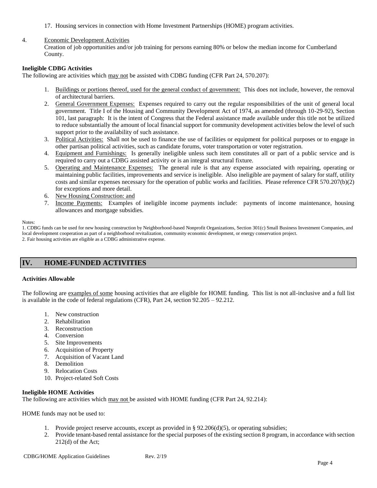17. Housing services in connection with Home Investment Partnerships (HOME) program activities.

#### 4. Economic Development Activities

Creation of job opportunities and/or job training for persons earning 80% or below the median income for Cumberland County.

#### **Ineligible CDBG Activities**

The following are activities which may not be assisted with CDBG funding (CFR Part 24, 570.207):

- 1. Buildings or portions thereof, used for the general conduct of government: This does not include, however, the removal of architectural barriers.
- 2. General Government Expenses: Expenses required to carry out the regular responsibilities of the unit of general local government. Title I of the Housing and Community Development Act of 1974, as amended (through 10-29-92), Section 101, last paragraph: It is the intent of Congress that the Federal assistance made available under this title not be utilized to reduce substantially the amount of local financial support for community development activities below the level of such support prior to the availability of such assistance.
- 3. Political Activities: Shall not be used to finance the use of facilities or equipment for political purposes or to engage in other partisan political activities, such as candidate forums, voter transportation or voter registration.
- 4. Equipment and Furnishings: Is generally ineligible unless such item constitutes all or part of a public service and is required to carry out a CDBG assisted activity or is an integral structural fixture.
- 5. Operating and Maintenance Expenses: The general rule is that any expense associated with repairing, operating or maintaining public facilities, improvements and service is ineligible. Also ineligible are payment of salary for staff, utility costs and similar expenses necessary for the operation of public works and facilities. Please reference CFR 570.207(b)(2) for exceptions and more detail.
- 6. New Housing Construction: and
- 7. Income Payments: Examples of ineligible income payments include: payments of income maintenance, housing allowances and mortgage subsidies.

#### Notes:

1. CDBG funds can be used for new housing construction by Neighborhood-based Nonprofit Organizations, Section 301(c) Small Business Investment Companies, and local development cooperation as part of a neighborhood revitalization, community economic development, or energy conservation project. 2. Fair housing activities are eligible as a CDBG administrative expense.

# **IV. HOME-FUNDED ACTIVITIES**

#### **Activities Allowable**

The following are examples of some housing activities that are eligible for HOME funding. This list is not all-inclusive and a full list is available in the code of federal regulations (CFR), Part 24, section 92.205 – 92.212.

- 1. New construction
- 2. Rehabilitation
- 3. Reconstruction
- 4. Conversion
- 5. Site Improvements
- 6. Acquisition of Property
- 7. Acquisition of Vacant Land
- 8. Demolition
- 9. Relocation Costs
- 10. Project-related Soft Costs

#### **Ineligible HOME Activities**

The following are activities which may not be assisted with HOME funding (CFR Part 24, 92.214):

HOME funds may not be used to:

- 1. Provide project reserve accounts, except as provided in §  $92.206(d)(5)$ , or operating subsidies;
- 2. Provide tenant-based rental assistance for the special purposes of the existing section 8 program, in accordance with section 212(d) of the Act;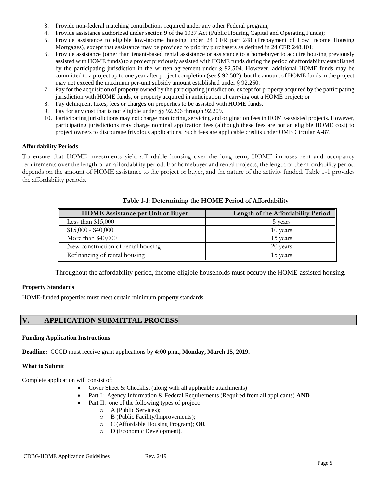- 3. Provide non-federal matching contributions required under any other Federal program;
- 4. Provide assistance authorized under section 9 of the 1937 Act (Public Housing Capital and Operating Funds);
- 5. Provide assistance to eligible low-income housing under 24 CFR part 248 (Prepayment of Low Income Housing Mortgages), except that assistance may be provided to priority purchasers as defined in 24 CFR 248.101;
- 6. Provide assistance (other than tenant-based rental assistance or assistance to a homebuyer to acquire housing previously assisted with HOME funds) to a project previously assisted with HOME funds during the period of affordability established by the participating jurisdiction in the written agreement under § 92.504. However, additional HOME funds may be committed to a project up to one year after project completion (see § 92.502), but the amount of HOME funds in the project may not exceed the maximum per-unit subsidy amount established under § 92.250.
- 7. Pay for the acquisition of property owned by the participating jurisdiction, except for property acquired by the participating jurisdiction with HOME funds, or property acquired in anticipation of carrying out a HOME project; or
- 8. Pay delinquent taxes, fees or charges on properties to be assisted with HOME funds.
- 9. Pay for any cost that is not eligible under §§ 92.206 through 92.209.
- 10. Participating jurisdictions may not charge monitoring, servicing and origination fees in HOME-assisted projects. However, participating jurisdictions may charge nominal application fees (although these fees are not an eligible HOME cost) to project owners to discourage frivolous applications. Such fees are applicable credits under OMB Circular A-87.

#### **Affordability Periods**

To ensure that HOME investments yield affordable housing over the long term, HOME imposes rent and occupancy requirements over the length of an affordability period. For homebuyer and rental projects, the length of the affordability period depends on the amount of HOME assistance to the project or buyer, and the nature of the activity funded. Table 1-1 provides the affordability periods.

| <b>HOME</b> Assistance per Unit or Buyer | Length of the Affordability Period |
|------------------------------------------|------------------------------------|
| Less than $$15,000$                      | 5 years                            |
| $$15,000 - $40,000$                      | 10 years                           |
| More than \$40,000                       | 15 years                           |
| New construction of rental housing       | 20 years                           |
| Refinancing of rental housing            | 15 years                           |

**Table 1-1: Determining the HOME Period of Affordability**

Throughout the affordability period, income-eligible households must occupy the HOME-assisted housing.

#### **Property Standards**

HOME-funded properties must meet certain minimum property standards.

# **V. APPLICATION SUBMITTAL PROCESS**

#### **Funding Application Instructions**

**Deadline:** CCCD must receive grant applications by **4:00 p.m., Monday, March 15, 2019.**

#### **What to Submit**

Complete application will consist of:

- Cover Sheet & Checklist (along with all applicable attachments)
- Part I: Agency Information & Federal Requirements (Required from all applicants) **AND**
- Part II: one of the following types of project:
	- o A (Public Services);
	- o B (Public Facility/Improvements);
	- o C (Affordable Housing Program); **OR**
	- o D (Economic Development).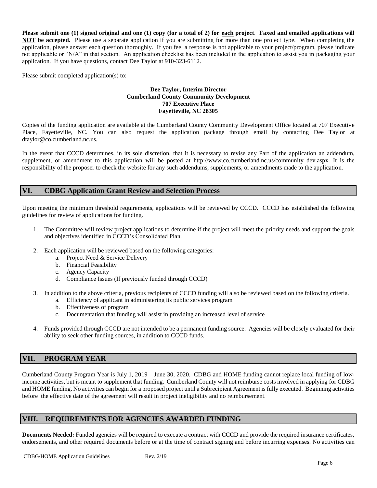**Please submit one (1) signed original and one (1) copy (for a total of 2) for each project**. **Faxed and emailed applications will NOT be accepted.** Please use a separate application if you are submitting for more than one project type. When completing the application, please answer each question thoroughly. If you feel a response is not applicable to your project/program, please indicate not applicable or "N/A" in that section. An application checklist has been included in the application to assist you in packaging your application. If you have questions, contact Dee Taylor at 910-323-6112.

Please submit completed application(s) to:

#### **Dee Taylor, Interim Director Cumberland County Community Development 707 Executive Place Fayetteville, NC 28305**

Copies of the funding application are available at the Cumberland County Community Development Office located at 707 Executive Place, Fayetteville, NC. You can also request the application package through email by contacting Dee Taylor at dtaylor@co.cumberland.nc.us.

In the event that CCCD determines, in its sole discretion, that it is necessary to revise any Part of the application an addendum, supplement, or amendment to this application will be posted at http://www.co.cumberland.nc.us/community dev.aspx. It is the responsibility of the proposer to check the website for any such addendums, supplements, or amendments made to the application.

# **VI. CDBG Application Grant Review and Selection Process**

Upon meeting the minimum threshold requirements, applications will be reviewed by CCCD. CCCD has established the following guidelines for review of applications for funding.

- 1. The Committee will review project applications to determine if the project will meet the priority needs and support the goals and objectives identified in CCCD's Consolidated Plan.
- 2. Each application will be reviewed based on the following categories:
	- a. Project Need & Service Delivery
	- b. Financial Feasibility
	- c. Agency Capacity
	- d. Compliance Issues (If previously funded through CCCD)
- 3. In addition to the above criteria, previous recipients of CCCD funding will also be reviewed based on the following criteria.
	- a. Efficiency of applicant in administering its public services program
	- b. Effectiveness of program
	- c. Documentation that funding will assist in providing an increased level of service
- 4. Funds provided through CCCD are not intended to be a permanent funding source. Agencies will be closely evaluated for their ability to seek other funding sources, in addition to CCCD funds.

# **VII. PROGRAM YEAR**

Cumberland County Program Year is July 1, 2019 – June 30, 2020. CDBG and HOME funding cannot replace local funding of lowincome activities, but is meant to supplement that funding. Cumberland County will not reimburse costs involved in applying for CDBG and HOME funding. No activities can begin for a proposed project until a Subrecipient Agreement is fully executed. Beginning activities before the effective date of the agreement will result in project ineligibility and no reimbursement.

# **VIII. REQUIREMENTS FOR AGENCIES AWARDED FUNDING**

**Documents Needed:** Funded agencies will be required to execute a contract with CCCD and provide the required insurance certificates, endorsements, and other required documents before or at the time of contract signing and before incurring expenses. No activities can

CDBG/HOME Application Guidelines Rev. 2/19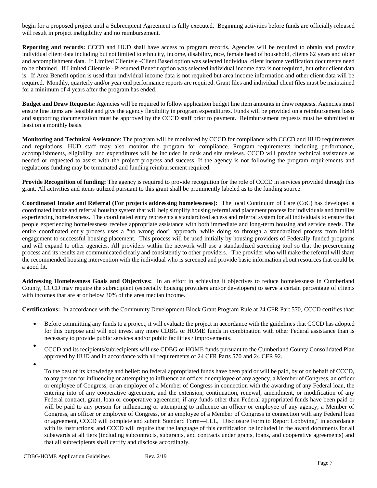begin for a proposed project until a Subrecipient Agreement is fully executed. Beginning activities before funds are officially released will result in project ineligibility and no reimbursement.

**Reporting and records:** CCCD and HUD shall have access to program records. Agencies will be required to obtain and provide individual client data including but not limited to ethnicity, income, disability, race, female head of household, clients 62 years and older and accomplishment data. If Limited Clientele -Client Based option was selected individual client income verification documents need to be obtained. If Limited Clientele - Presumed Benefit option was selected individual income data is not required, but other client data is. If Area Benefit option is used than individual income data is not required but area income information and other client data will be required. Monthly, quarterly and/or year end performance reports are required. Grant files and individual client files must be maintained for a minimum of 4 years after the program has ended.

**Budget and Draw Requests:** Agencies will be required to follow application budget line item amounts in draw requests. Agencies must ensure line items are feasible and give the agency flexibility in program expenditures. Funds will be provided on a reimbursement basis and supporting documentation must be approved by the CCCD staff prior to payment. Reimbursement requests must be submitted at least on a monthly basis.

**Monitoring and Technical Assistance**: The program will be monitored by CCCD for compliance with CCCD and HUD requirements and regulations. HUD staff may also monitor the program for compliance. Program requirements including performance, accomplishments, eligibility, and expenditures will be included in desk and site reviews. CCCD will provide technical assistance as needed or requested to assist with the project progress and success. If the agency is not following the program requirements and regulations funding may be terminated and funding reimbursement required.

**Provide Recognition of funding:** The agency is required to provide recognition for the role of CCCD in services provided through this grant. All activities and items utilized pursuant to this grant shall be prominently labeled as to the funding source.

**Coordinated Intake and Referral (For projects addressing homelessness):** The local Continuum of Care (CoC) has developed a coordinated intake and referral housing system that will help simplify housing referral and placement process for individuals and families experiencing homelessness. The coordinated entry represents a standardized access and referral system for all individuals to ensure that people experiencing homelessness receive appropriate assistance with both immediate and long-term housing and service needs. The entire coordinated entry process uses a "no wrong door" approach, while doing so through a standardized process from initial engagement to successful housing placement. This process will be used initially by housing providers of Federally-funded programs and will expand to other agencies. All providers within the network will use a standardized screening tool so that the prescreening process and its results are communicated clearly and consistently to other providers. The provider who will make the referral will share the recommended housing intervention with the individual who is screened and provide basic information about resources that could be a good fit.

**Addressing Homelessness Goals and Objectives:** In an effort in achieving it objectives to reduce homelessness in Cumberland County, CCCD may require the subrecipient (especially housing providers and/or developers) to serve a certain percentage of clients with incomes that are at or below 30% of the area median income.

**Certifications:** In accordance with the Community Development Block Grant Program Rule at 24 CFR Part 570, CCCD certifies that:

- Before committing any funds to a project, it will evaluate the project in accordance with the guidelines that CCCD has adopted for this purpose and will not invest any more CDBG or HOME funds in combination with other Federal assistance than is necessary to provide public services and/or public facilities / improvements.
- CCCD and its recipients/subrecipients will use CDBG or HOME funds pursuant to the Cumberland County Consolidated Plan approved by HUD and in accordance with all requirements of 24 CFR Parts 570 and 24 CFR 92.
- •

To the best of its knowledge and belief: no federal appropriated funds have been paid or will be paid, by or on behalf of CCCD, to any person for influencing or attempting to influence an officer or employee of any agency, a Member of Congress, an officer or employee of Congress, or an employee of a Member of Congress in connection with the awarding of any Federal loan, the entering into of any cooperative agreement, and the extension, continuation, renewal, amendment, or modification of any Federal contract, grant, loan or cooperative agreement; if any funds other than Federal appropriated funds have been paid or will be paid to any person for influencing or attempting to influence an officer or employee of any agency, a Member of Congress, an officer or employee of Congress, or an employee of a Member of Congress in connection with any Federal loan or agreement, CCCD will complete and submit Standard Form—LLL, "Disclosure Form to Report Lobbying," in accordance with its instructions; and CCCD will require that the language of this certification be included in the award documents for all subawards at all tiers (including subcontracts, subgrants, and contracts under grants, loans, and cooperative agreements) and that all subrecipients shall certify and disclose accordingly.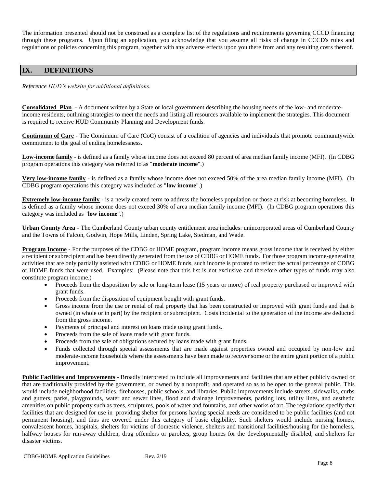The information presented should not be construed as a complete list of the regulations and requirements governing CCCD financing through these programs. Upon filing an application, you acknowledge that you assume all risks of change in CCCD's rules and regulations or policies concerning this program, together with any adverse effects upon you there from and any resulting costs thereof.

# **IX. DEFINITIONS**

*Reference HUD's website for additional definitions.*

**Consolidated Plan -** A document written by a State or local government describing the housing needs of the low- and moderateincome residents, outlining strategies to meet the needs and listing all resources available to implement the strategies. This document is required to receive HUD Community Planning and Development funds.

**Continuum of Care** - The Continuum of Care (CoC) consist of a coalition of agencies and individuals that promote communitywide commitment to the goal of ending homelessness.

**Low-income family** - is defined as a family whose income does not exceed 80 percent of area median family income (MFI). (In CDBG program operations this category was referred to as "**moderate income**".)

**Very low-income family** - is defined as a family whose income does not exceed 50% of the area median family income (MFI). (In CDBG program operations this category was included as "**low income**".)

**Extremely low-income family** - is a newly created term to address the homeless population or those at risk at becoming homeless. It is defined as a family whose income does not exceed 30% of area median family income (MFI). (In CDBG program operations this category was included as "**low income**".)

**Urban County Area** - The Cumberland County urban county entitlement area includes: unincorporated areas of Cumberland County and the Towns of Falcon, Godwin, Hope Mills, Linden, Spring Lake, Stedman, and Wade.

**Program Income** - For the purposes of the CDBG or HOME program, program income means gross income that is received by either a recipient or subrecipient and has been directly generated from the use of CDBG or HOME funds. For those program income-generating activities that are only partially assisted with CDBG or HOME funds, such income is prorated to reflect the actual percentage of CDBG or HOME funds that were used. Examples: (Please note that this list is not exclusive and therefore other types of funds may also constitute program income.)

- Proceeds from the disposition by sale or long-term lease (15 years or more) of real property purchased or improved with grant funds.
- Proceeds from the disposition of equipment bought with grant funds.
- Gross income from the use or rental of real property that has been constructed or improved with grant funds and that is owned (in whole or in part) by the recipient or subrecipient. Costs incidental to the generation of the income are deducted from the gross income.
- Payments of principal and interest on loans made using grant funds.
- Proceeds from the sale of loans made with grant funds.
- Proceeds from the sale of obligations secured by loans made with grant funds.
- Funds collected through special assessments that are made against properties owned and occupied by non-low and moderate-income households where the assessments have been made to recover some or the entire grant portion of a public improvement.

**Public Facilities and Improvements** - Broadly interpreted to include all improvements and facilities that are either publicly owned or that are traditionally provided by the government, or owned by a nonprofit, and operated so as to be open to the general public. This would include neighborhood facilities, firehouses, public schools, and libraries. Public improvements include streets, sidewalks, curbs and gutters, parks, playgrounds, water and sewer lines, flood and drainage improvements, parking lots, utility lines, and aesthetic amenities on public property such as trees, sculptures, pools of water and fountains, and other works of art. The regulations specify that facilities that are designed for use in providing shelter for persons having special needs are considered to be public facilities (and not permanent housing), and thus are covered under this category of basic eligibility. Such shelters would include nursing homes, convalescent homes, hospitals, shelters for victims of domestic violence, shelters and transitional facilities/housing for the homeless, halfway houses for run-away children, drug offenders or parolees, group homes for the developmentally disabled, and shelters for disaster victims.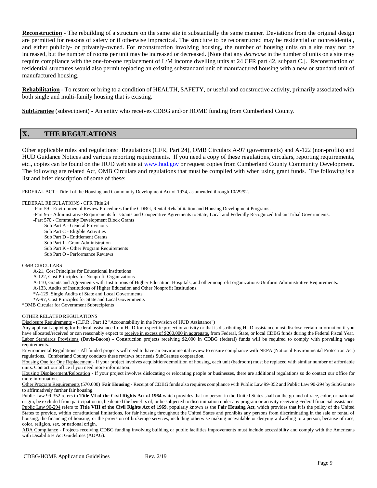**Reconstruction** - The rebuilding of a structure on the same site in substantially the same manner. Deviations from the original design are permitted for reasons of safety or if otherwise impractical. The structure to be reconstructed may be residential or nonresidential, and either publicly- or privately-owned. For reconstruction involving housing, the number of housing units on a site may not be increased, but the number of rooms per unit may be increased or decreased. [Note that any *decrease* in the number of units on a site may require compliance with the one-for-one replacement of L/M income dwelling units at 24 CFR part 42, subpart C.]. Reconstruction of residential structures would also permit replacing an existing substandard unit of manufactured housing with a new or standard unit of manufactured housing.

**Rehabilitation** - To restore or bring to a condition of HEALTH, SAFETY, or useful and constructive activity, primarily associated with both single and multi-family housing that is existing.

**SubGrantee** (subrecipient) - An entity who receives CDBG and/or HOME funding from Cumberland County.

# **X. THE REGULATIONS**

Other applicable rules and regulations: Regulations (CFR, Part 24), OMB Circulars A-97 (governments) and A-122 (non-profits) and HUD Guidance Notices and various reporting requirements. If you need a copy of these regulations, circulars, reporting requirements, etc., copies can be found on the HUD web site at [www.hud.gov](http://www.hud.gov/) or request copies from Cumberland County Community Development. The following are related Act, OMB Circulars and regulations that must be complied with when using grant funds. The following is a list and brief description of some of these:

FEDERAL ACT **-** Title I of the Housing and Community Development Act of 1974, as amended through 10/29/92.

#### FEDERAL REGULATIONS - CFR Title 24

-Part 59 - Environmental Review Procedures for the CDBG, Rental Rehabilitation and Housing Development Programs.

-Part 95 - Administrative Requirements for Grants and Cooperative Agreements to State, Local and Federally Recognized Indian Tribal Governments.

- -Part 570 Community Development Block Grants
	- Sub Part A General Provisions
	- Sub Part C Eligible Activities
	- Sub Part D Entitlement Grants
	- Sub Part J Grant Administration
	- Sub Part K Other Program Requirements
	- Sub Part O Performance Reviews

#### OMB CIRCULARS

A-21, Cost Principles for Educational Institutions

- A-122, Cost Principles for Nonprofit Organizations
- A-110, Grants and Agreements with Institutions of Higher Education, Hospitals, and other nonprofit organizations-Uniform Administrative Requirements.
- A-133, Audits of Institutions of Higher Education and Other Nonprofit Institutions.
- \*A-129, Single Audits of State and Local Governments
- \*A-97, Cost Principles for State and Local Governments

\*OMB Circular for Government Subrecipients

#### OTHER RELATED REGULATIONS

Disclosure Requirements - (C.F.R., Part 12 "Accountability in the Provision of HUD Assistance")

Any applicant applying for Federal assistance from HUD for a specific project or activity or that is distributing HUD assistance must disclose certain information if you have allocated/received or can reasonably expect to receive in excess of \$200,000 in aggregate, from Federal, State, or local CDBG funds during the Federal Fiscal Year. Labor Standards Provisions (Davis-Bacon) - Construction projects receiving \$2,000 in CDBG (federal) funds will be required to comply with prevailing wage requirements.

Environmental Regulations - All funded projects will need to have an environmental review to ensure compliance with NEPA (National Environmental Protection Act) regulations. Cumberland County conducts these reviews but needs SubGrantee cooperation.

Housing One for One Replacement - If your project involves acquisition/demolition of housing, each unit (bedroom) must be replaced with similar number of affordable units. Contact our office if you need more information.

Housing Displacement/Relocation - If your project involves dislocating or relocating people or businesses, there are additional regulations so do contact our office for more information.

Other Program Requirements (570.600) **Fair Housing -** Receipt of CDBG funds also requires compliance with Public Law 99-352 and Public Law 90-294 by SubGrantee to affirmatively further fair housing.

Public Law 99-352 refers to **Title VI of the Civil Rights Act of 1964** which provides that no person in the United States shall on the ground of race, color, or national origin, be excluded from participation in, be denied the benefits of, or be subjected to discrimination under any program or activity receiving Federal financial assistance. Public Law 90-294 refers to **Title VIII of the Civil Rights Act of 1969**, popularly known as the **Fair Housing Act**, which provides that it is the policy of the United States to provide, within constitutional limitations, for fair housing throughout the United States and prohibits any persons from discriminating in the sale or rental of housing, the financing of housing, or the provision of brokerage services, including otherwise making unavailable or denying a dwelling to a person, because of race, color, religion, sex, or national origin.

ADA Compliance - Projects receiving CDBG funding involving building or public facilities improvements must include accessibility and comply with the Americans with Disabilities Act Guidelines (ADAG).